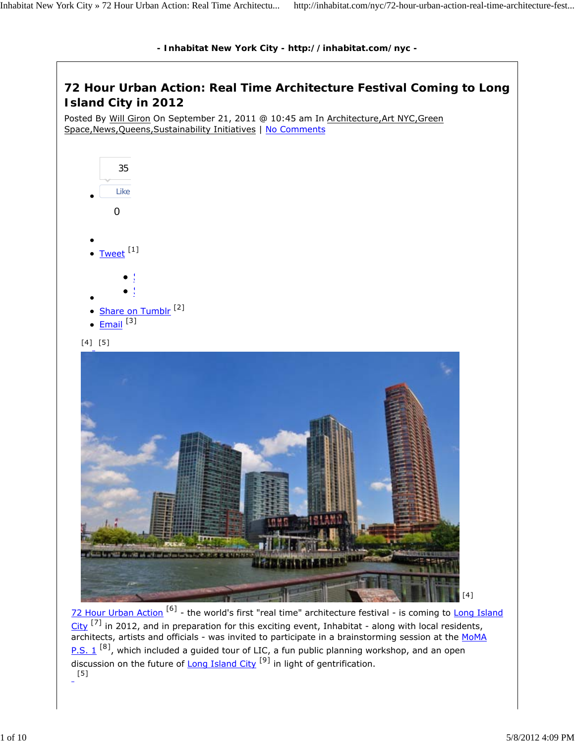

## **72 Hour Urban Action: Real Time Architecture Festival Coming to Long Island City in 2012**

Posted By Will Giron On September 21, 2011 @ 10:45 am In Architecture,Art NYC,Green Space,News,Queens,Sustainability Initiatives | No Comments



72 Hour Urban Action<sup>[6]</sup> - the world's first "real time" architecture festival - is coming to Long Island City <sup>[7]</sup> in 2012, and in preparation for this exciting event, Inhabitat - along with local residents, architects, artists and officials - was invited to participate in a brainstorming session at the MoMA  $P.S. 1$ <sup>[8]</sup>, which included a guided tour of LIC, a fun public planning workshop, and an open  $\overline{d}$  discussion on the future of Long Island City  $^{[9]}$  in light of gentrification. [5]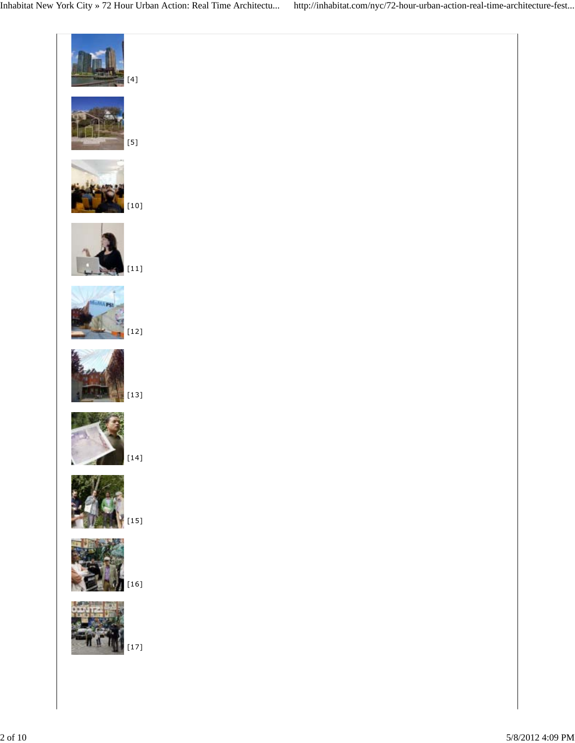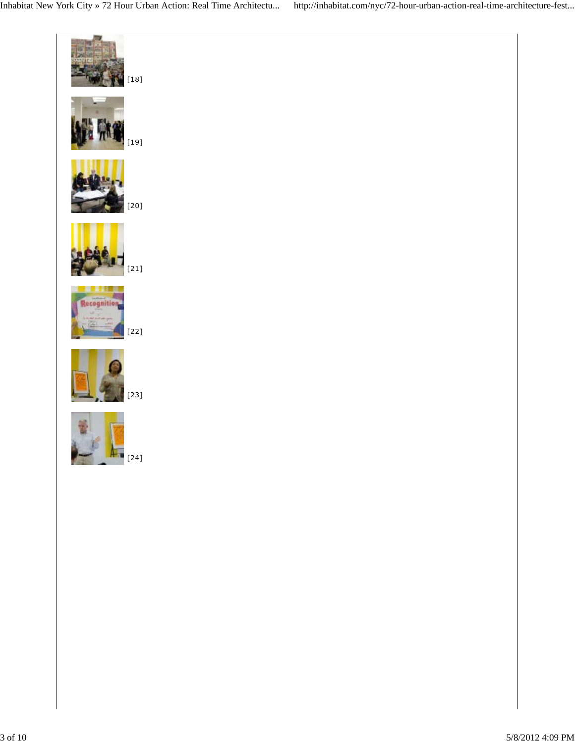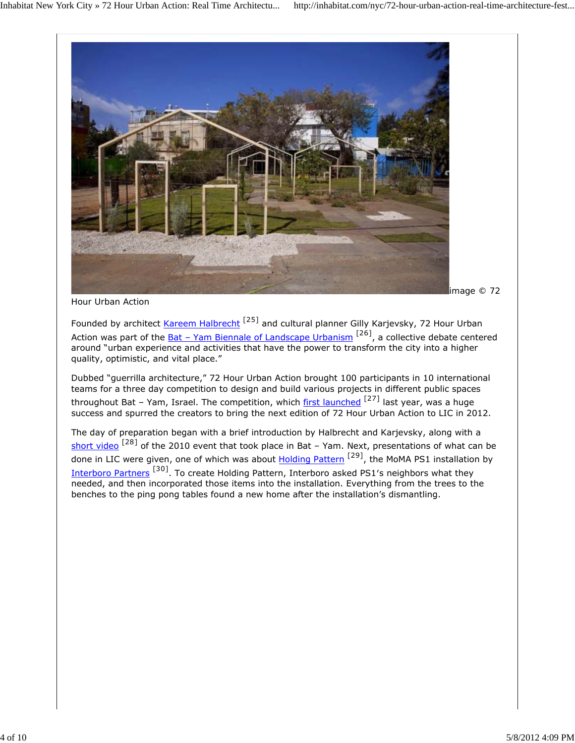

*Hour Urban Action*

Founded by architect Kareem Halbrecht<sup>[25]</sup> and cultural planner Gilly Karjevsky, 72 Hour Urban Action was part of the <u>Bat – Yam Biennale of Landscape Urbanism <sup>[26]</sup>, a collective debate centered</u> around "urban experience and activities that have the power to transform the city into a higher quality, optimistic, and vital place."

Dubbed "guerrilla architecture," 72 Hour Urban Action brought 100 participants in 10 international teams for a three day competition to design and build various projects in different public spaces throughout Bat – Yam, Israel. The competition, which first launched  $[27]$  last year, was a huge success and spurred the creators to bring the next edition of 72 Hour Urban Action to LIC in 2012.

The day of preparation began with a brief introduction by Halbrecht and Karjevsky, along with a short video<sup>[28]</sup> of the 2010 event that took place in Bat – Yam. Next, presentations of what can be done in LIC were given, one of which was about **Holding Pattern<sup>[29]</sup>, the MoMA PS1** installation by Interboro Partners [30]. To create Holding Pattern, Interboro asked PS1′s neighbors what they needed, and then incorporated those items into the installation. Everything from the trees to the benches to the ping pong tables found a new home after the installation's dismantling.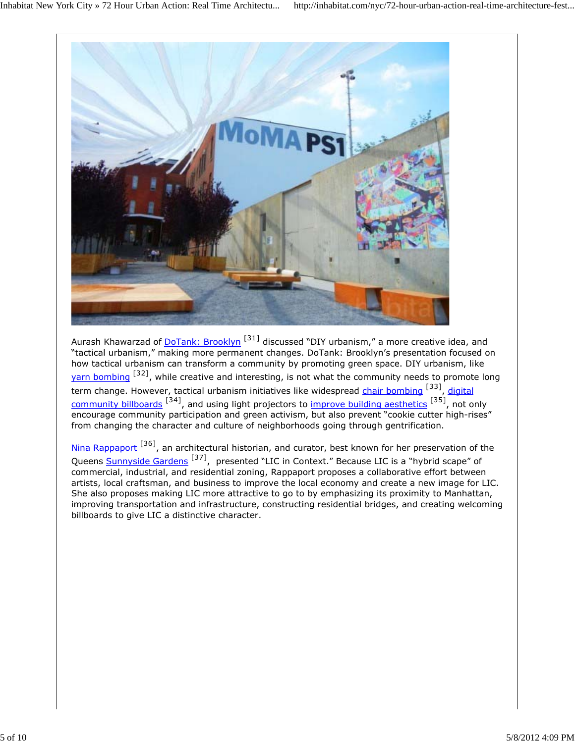

Aurash Khawarzad of <u>DoTank: Brooklyn [31]</u> discussed "DIY urbanism," a more creative idea, and "tactical urbanism," making more permanent changes. DoTank: Brooklyn's presentation focused on how tactical urbanism can transform a community by promoting green space. DIY urbanism, like yarn bombing <sup>[32]</sup>, while creative and interesting, is not what the community needs to promote long term change. However, tactical urbanism initiatives like widespread chair bombing [33], digital community billboards <sup>[34]</sup>, and using light projectors to improve building aesthetics <sup>[35]</sup>, not only encourage community participation and green activism, but also prevent "cookie cutter high-rises" from changing the character and culture of neighborhoods going through gentrification.

Nina Rappaport<sup>[36]</sup>, an architectural historian, and curator, best known for her preservation of the Queens Sunnyside Gardens<sup>[37]</sup>, presented "LIC in Context." Because LIC is a "hybrid scape" of commercial, industrial, and residential zoning, Rappaport proposes a collaborative effort between artists, local craftsman, and business to improve the local economy and create a new image for LIC. She also proposes making LIC more attractive to go to by emphasizing its proximity to Manhattan, improving transportation and infrastructure, constructing residential bridges, and creating welcoming billboards to give LIC a distinctive character.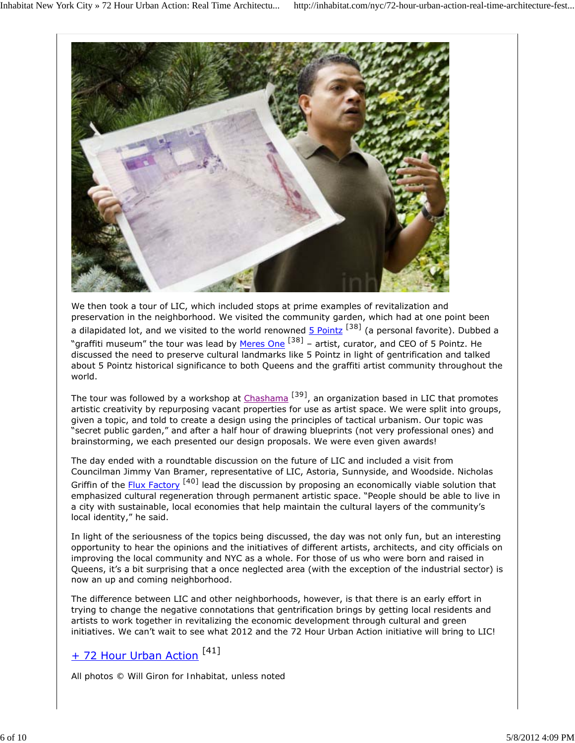

We then took a tour of LIC, which included stops at prime examples of revitalization and preservation in the neighborhood. We visited the community garden, which had at one point been a dilapidated lot, and we visited to the world renowned  $5$  Pointz<sup>[38]</sup> (a personal favorite). Dubbed a "graffiti museum" the tour was lead by Meres One  $^{[38]}$  – artist, curator, and CEO of 5 Pointz. He discussed the need to preserve cultural landmarks like 5 Pointz in light of gentrification and talked about 5 Pointz historical significance to both Queens and the graffiti artist community throughout the world.

The tour was followed by a workshop at Chashama<sup>[39]</sup>, an organization based in LIC that promotes artistic creativity by repurposing vacant properties for use as artist space. We were split into groups, given a topic, and told to create a design using the principles of tactical urbanism. Our topic was "secret public garden," and after a half hour of drawing blueprints (not very professional ones) and brainstorming, we each presented our design proposals. We were even given awards!

The day ended with a roundtable discussion on the future of LIC and included a visit from Councilman Jimmy Van Bramer, representative of LIC, Astoria, Sunnyside, and Woodside. Nicholas Griffin of the Flux Factory<sup>[40]</sup> lead the discussion by proposing an economically viable solution that emphasized cultural regeneration through permanent artistic space. "People should be able to live in a city with sustainable, local economies that help maintain the cultural layers of the community's local identity," he said.

In light of the seriousness of the topics being discussed, the day was not only fun, but an interesting opportunity to hear the opinions and the initiatives of different artists, architects, and city officials on improving the local community and NYC as a whole. For those of us who were born and raised in Queens, it's a bit surprising that a once neglected area (with the exception of the industrial sector) is now an up and coming neighborhood.

The difference between LIC and other neighborhoods, however, is that there is an early effort in trying to change the negative connotations that gentrification brings by getting local residents and artists to work together in revitalizing the economic development through cultural and green initiatives. We can't wait to see what 2012 and the 72 Hour Urban Action initiative will bring to LIC!

## + 72 Hour Urban Action<sup>[41]</sup>

*All photos © Will Giron for Inhabitat, unless noted*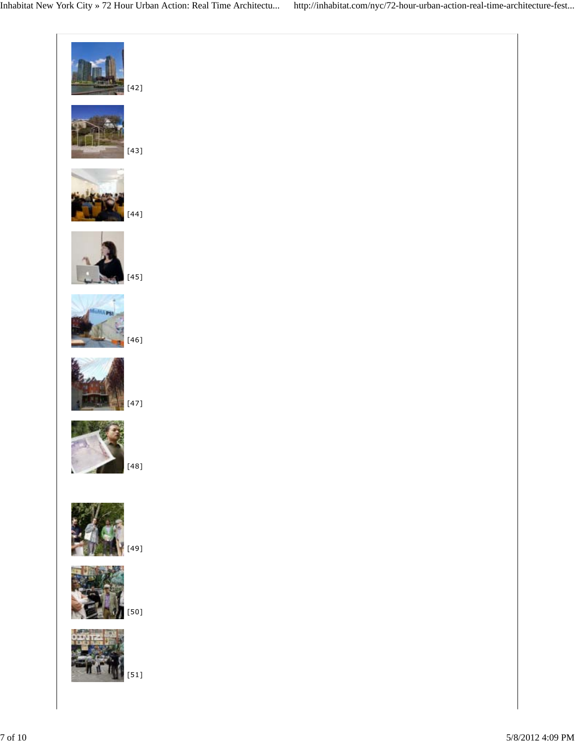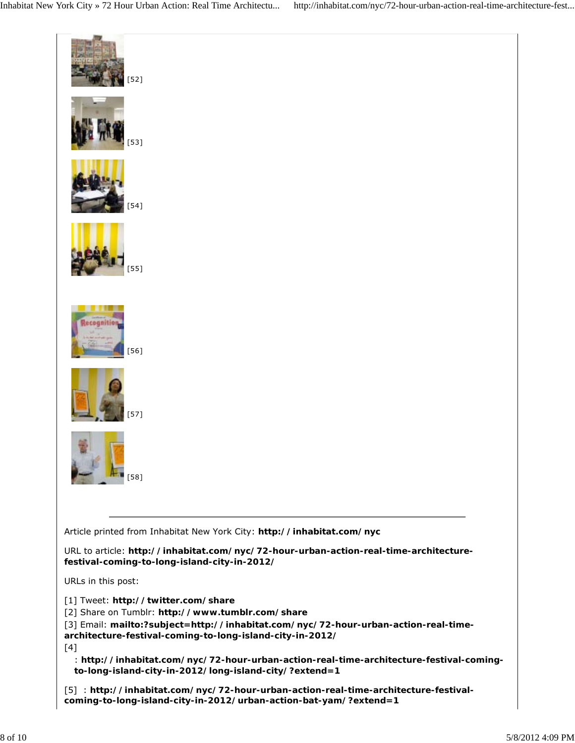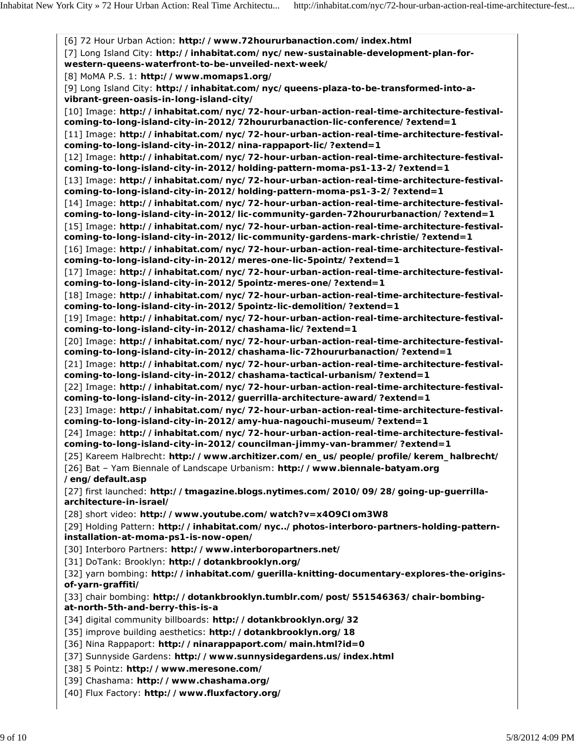[6] 72 Hour Urban Action: **http://www.72hoururbanaction.com/index.html** [7] Long Island City: http://inhabitat.com/nyc/new-sustainable-development-plan-for**western-queens-waterfront-to-be-unveiled-next-week/** [8] MoMA P.S. 1: **http://www.momaps1.org/** [9] Long Island City: **http://inhabitat.com/nyc/queens-plaza-to-be-transformed-into-avibrant-green-oasis-in-long-island-city/** [10] Image: **http://inhabitat.com/nyc/72-hour-urban-action-real-time-architecture-festivalcoming-to-long-island-city-in-2012/72hoururbanaction-lic-conference/?extend=1** [11] Image: **http://inhabitat.com/nyc/72-hour-urban-action-real-time-architecture-festivalcoming-to-long-island-city-in-2012/nina-rappaport-lic/?extend=1** [12] Image: http://inhabitat.com/nyc/72-hour-urban-action-real-time-architecture-festival**coming-to-long-island-city-in-2012/holding-pattern-moma-ps1-13-2/?extend=1** [13] Image: http://inhabitat.com/nyc/72-hour-urban-action-real-time-architecture-festival**coming-to-long-island-city-in-2012/holding-pattern-moma-ps1-3-2/?extend=1** [14] Image: http://inhabitat.com/nyc/72-hour-urban-action-real-time-architecture-festival**coming-to-long-island-city-in-2012/lic-community-garden-72hoururbanaction/?extend=1** [15] Image: http://inhabitat.com/nyc/72-hour-urban-action-real-time-architecture-festival**coming-to-long-island-city-in-2012/lic-community-gardens-mark-christie/?extend=1** [16] Image: http://inhabitat.com/nyc/72-hour-urban-action-real-time-architecture-festival**coming-to-long-island-city-in-2012/meres-one-lic-5pointz/?extend=1** [17] Image: http://inhabitat.com/nyc/72-hour-urban-action-real-time-architecture-festival**coming-to-long-island-city-in-2012/5pointz-meres-one/?extend=1** [18] Image: http://inhabitat.com/nyc/72-hour-urban-action-real-time-architecture-festival**coming-to-long-island-city-in-2012/5pointz-lic-demolition/?extend=1** [19] Image: **http://inhabitat.com/nyc/72-hour-urban-action-real-time-architecture-festivalcoming-to-long-island-city-in-2012/chashama-lic/?extend=1** [20] Image: **http://inhabitat.com/nyc/72-hour-urban-action-real-time-architecture-festivalcoming-to-long-island-city-in-2012/chashama-lic-72hoururbanaction/?extend=1** [21] Image: **http://inhabitat.com/nyc/72-hour-urban-action-real-time-architecture-festivalcoming-to-long-island-city-in-2012/chashama-tactical-urbanism/?extend=1** [22] Image: **http://inhabitat.com/nyc/72-hour-urban-action-real-time-architecture-festivalcoming-to-long-island-city-in-2012/guerrilla-architecture-award/?extend=1** [23] Image: **http://inhabitat.com/nyc/72-hour-urban-action-real-time-architecture-festivalcoming-to-long-island-city-in-2012/amy-hua-nagouchi-museum/?extend=1** [24] Image: **http://inhabitat.com/nyc/72-hour-urban-action-real-time-architecture-festivalcoming-to-long-island-city-in-2012/councilman-jimmy-van-brammer/?extend=1** [25] Kareem Halbrecht: **http://www.architizer.com/en\_us/people/profile/kerem\_halbrecht/** [26] Bat – Yam Biennale of Landscape Urbanism: **http://www.biennale-batyam.org /eng/default.asp** [27] first launched: **http://tmagazine.blogs.nytimes.com/2010/09/28/going-up-guerrillaarchitecture-in-israel/** [28] short video: **http://www.youtube.com/watch?v=x4O9CIom3W8** [29] Holding Pattern: **http://inhabitat.com/nyc../photos-interboro-partners-holding-patterninstallation-at-moma-ps1-is-now-open/** [30] Interboro Partners: **http://www.interboropartners.net/** [31] DoTank: Brooklyn: **http://dotankbrooklyn.org/** [32] yarn bombing: **http://inhabitat.com/guerilla-knitting-documentary-explores-the-originsof-yarn-graffiti/** [33] chair bombing: **http://dotankbrooklyn.tumblr.com/post/551546363/chair-bombingat-north-5th-and-berry-this-is-a** [34] digital community billboards: **http://dotankbrooklyn.org/32** [35] improve building aesthetics: **http://dotankbrooklyn.org/18** [36] Nina Rappaport: **http://ninarappaport.com/main.html?id=0** [37] Sunnyside Gardens: **http://www.sunnysidegardens.us/index.html** [38] 5 Pointz: **http://www.meresone.com/** [39] Chashama: **http://www.chashama.org/** [40] Flux Factory: **http://www.fluxfactory.org/**